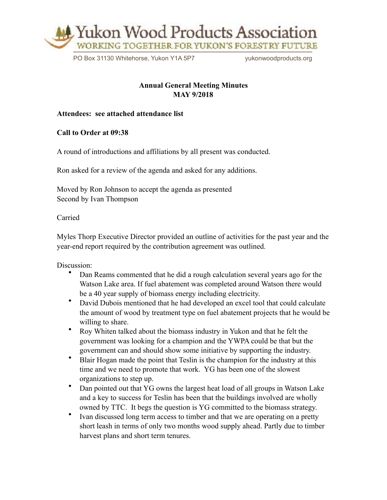

PO Box 31130 Whitehorse, Yukon Y1A 5P7 vukonwoodproducts.org

## **Annual General Meeting Minutes MAY 9/2018**

## **Attendees: see attached attendance list**

**Call to Order at 09:38** 

A round of introductions and affiliations by all present was conducted.

Ron asked for a review of the agenda and asked for any additions.

Moved by Ron Johnson to accept the agenda as presented Second by Ivan Thompson

Carried

Myles Thorp Executive Director provided an outline of activities for the past year and the year-end report required by the contribution agreement was outlined.

Discussion:

- Dan Reams commented that he did a rough calculation several years ago for the Watson Lake area. If fuel abatement was completed around Watson there would be a 40 year supply of biomass energy including electricity.
- David Dubois mentioned that he had developed an excel tool that could calculate the amount of wood by treatment type on fuel abatement projects that he would be willing to share.
- Roy Whiten talked about the biomass industry in Yukon and that he felt the government was looking for a champion and the YWPA could be that but the government can and should show some initiative by supporting the industry.
- Blair Hogan made the point that Teslin is the champion for the industry at this time and we need to promote that work. YG has been one of the slowest organizations to step up.
- Dan pointed out that YG owns the largest heat load of all groups in Watson Lake and a key to success for Teslin has been that the buildings involved are wholly owned by TTC. It begs the question is YG committed to the biomass strategy.
- Ivan discussed long term access to timber and that we are operating on a pretty short leash in terms of only two months wood supply ahead. Partly due to timber harvest plans and short term tenures.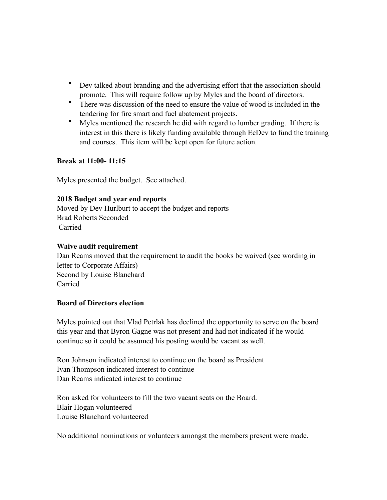- Dev talked about branding and the advertising effort that the association should promote. This will require follow up by Myles and the board of directors.
- There was discussion of the need to ensure the value of wood is included in the tendering for fire smart and fuel abatement projects.
- Myles mentioned the research he did with regard to lumber grading. If there is interest in this there is likely funding available through EcDev to fund the training and courses. This item will be kept open for future action.

## **Break at 11:00- 11:15**

Myles presented the budget. See attached.

## **2018 Budget and year end reports**

Moved by Dev Hurlburt to accept the budget and reports Brad Roberts Seconded Carried

## **Waive audit requirement**

Dan Reams moved that the requirement to audit the books be waived (see wording in letter to Corporate Affairs) Second by Louise Blanchard Carried

#### **Board of Directors election**

Myles pointed out that Vlad Petrlak has declined the opportunity to serve on the board this year and that Byron Gagne was not present and had not indicated if he would continue so it could be assumed his posting would be vacant as well.

Ron Johnson indicated interest to continue on the board as President Ivan Thompson indicated interest to continue Dan Reams indicated interest to continue

Ron asked for volunteers to fill the two vacant seats on the Board. Blair Hogan volunteered Louise Blanchard volunteered

No additional nominations or volunteers amongst the members present were made.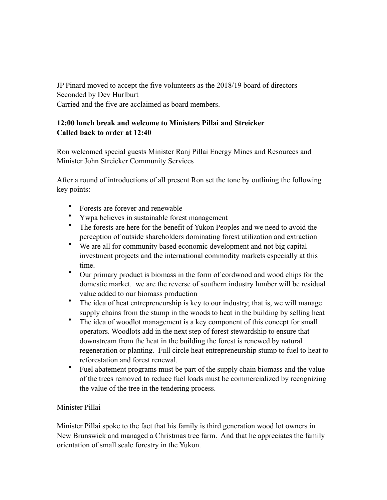JP Pinard moved to accept the five volunteers as the 2018/19 board of directors Seconded by Dev Hurlburt Carried and the five are acclaimed as board members.

## **12:00 lunch break and welcome to Ministers Pillai and Streicker Called back to order at 12:40**

Ron welcomed special guests Minister Ranj Pillai Energy Mines and Resources and Minister John Streicker Community Services

After a round of introductions of all present Ron set the tone by outlining the following key points:

- Forests are forever and renewable
- Ywpa believes in sustainable forest management
- The forests are here for the benefit of Yukon Peoples and we need to avoid the perception of outside shareholders dominating forest utilization and extraction
- We are all for community based economic development and not big capital investment projects and the international commodity markets especially at this time.
- Our primary product is biomass in the form of cordwood and wood chips for the domestic market. we are the reverse of southern industry lumber will be residual value added to our biomass production
- The idea of heat entrepreneurship is key to our industry; that is, we will manage supply chains from the stump in the woods to heat in the building by selling heat
- The idea of woodlot management is a key component of this concept for small operators. Woodlots add in the next step of forest stewardship to ensure that downstream from the heat in the building the forest is renewed by natural regeneration or planting. Full circle heat entrepreneurship stump to fuel to heat to reforestation and forest renewal.
- Fuel abatement programs must be part of the supply chain biomass and the value of the trees removed to reduce fuel loads must be commercialized by recognizing the value of the tree in the tendering process.

# Minister Pillai

Minister Pillai spoke to the fact that his family is third generation wood lot owners in New Brunswick and managed a Christmas tree farm. And that he appreciates the family orientation of small scale forestry in the Yukon.